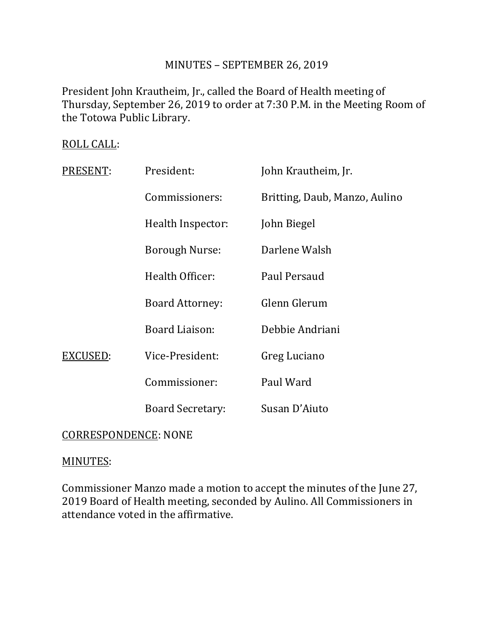# MINUTES – SEPTEMBER 26, 2019

President John Krautheim, Jr., called the Board of Health meeting of Thursday, September 26, 2019 to order at 7:30 P.M. in the Meeting Room of the Totowa Public Library.

# ROLL CALL:

| PRESENT: | President:              | John Krautheim, Jr.           |
|----------|-------------------------|-------------------------------|
|          | Commissioners:          | Britting, Daub, Manzo, Aulino |
|          | Health Inspector:       | John Biegel                   |
|          | <b>Borough Nurse:</b>   | Darlene Walsh                 |
|          | Health Officer:         | Paul Persaud                  |
|          | <b>Board Attorney:</b>  | Glenn Glerum                  |
|          | Board Liaison:          | Debbie Andriani               |
| EXCUSED: | Vice-President:         | Greg Luciano                  |
|          | Commissioner:           | Paul Ward                     |
|          | <b>Board Secretary:</b> | Susan D'Aiuto                 |
|          |                         |                               |

# CORRESPONDENCE: NONE

# MINUTES:

Commissioner Manzo made a motion to accept the minutes of the June 27, 2019 Board of Health meeting, seconded by Aulino. All Commissioners in attendance voted in the affirmative.